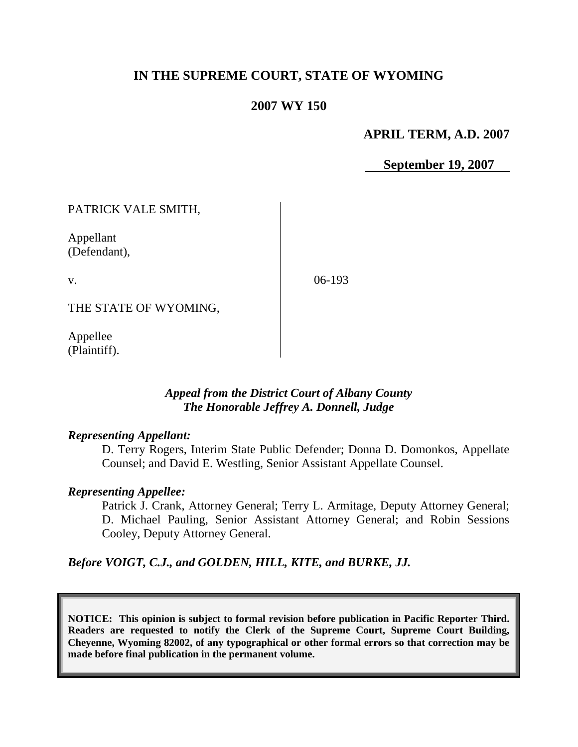# **IN THE SUPREME COURT, STATE OF WYOMING**

### **2007 WY 150**

### **APRIL TERM, A.D. 2007**

 **September 19, 2007**

PATRICK VALE SMITH,

Appellant (Defendant),

v.

06-193

THE STATE OF WYOMING,

Appellee (Plaintiff).

### *Appeal from the District Court of Albany County The Honorable Jeffrey A. Donnell, Judge*

### *Representing Appellant:*

D. Terry Rogers, Interim State Public Defender; Donna D. Domonkos, Appellate Counsel; and David E. Westling, Senior Assistant Appellate Counsel.

### *Representing Appellee:*

Patrick J. Crank, Attorney General; Terry L. Armitage, Deputy Attorney General; D. Michael Pauling, Senior Assistant Attorney General; and Robin Sessions Cooley, Deputy Attorney General.

*Before VOIGT, C.J., and GOLDEN, HILL, KITE, and BURKE, JJ.*

**NOTICE: This opinion is subject to formal revision before publication in Pacific Reporter Third. Readers are requested to notify the Clerk of the Supreme Court, Supreme Court Building, Cheyenne, Wyoming 82002, of any typographical or other formal errors so that correction may be made before final publication in the permanent volume.**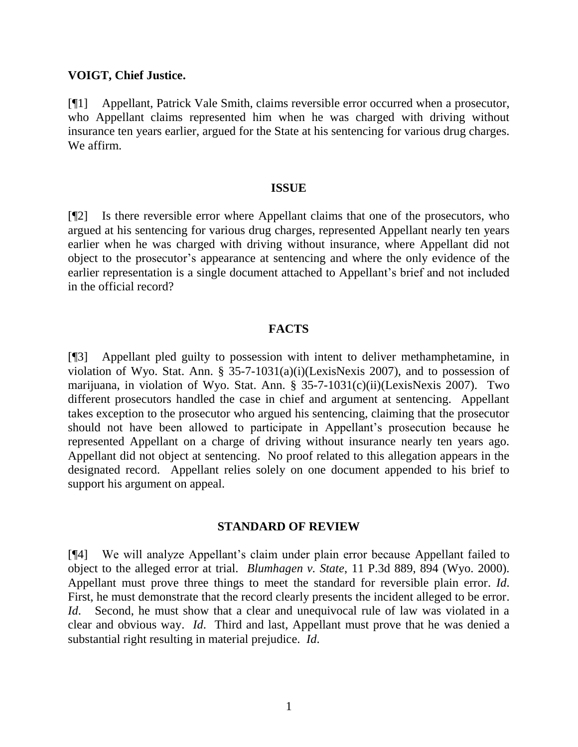#### **VOIGT, Chief Justice.**

[¶1] Appellant, Patrick Vale Smith, claims reversible error occurred when a prosecutor, who Appellant claims represented him when he was charged with driving without insurance ten years earlier, argued for the State at his sentencing for various drug charges. We affirm.

#### **ISSUE**

[¶2] Is there reversible error where Appellant claims that one of the prosecutors, who argued at his sentencing for various drug charges, represented Appellant nearly ten years earlier when he was charged with driving without insurance, where Appellant did not object to the prosecutor's appearance at sentencing and where the only evidence of the earlier representation is a single document attached to Appellant's brief and not included in the official record?

### **FACTS**

[¶3] Appellant pled guilty to possession with intent to deliver methamphetamine, in violation of Wyo. Stat. Ann. § 35-7-1031(a)(i)(LexisNexis 2007), and to possession of marijuana, in violation of Wyo. Stat. Ann. § 35-7-1031(c)(ii)(LexisNexis 2007). Two different prosecutors handled the case in chief and argument at sentencing. Appellant takes exception to the prosecutor who argued his sentencing, claiming that the prosecutor should not have been allowed to participate in Appellant's prosecution because he represented Appellant on a charge of driving without insurance nearly ten years ago. Appellant did not object at sentencing. No proof related to this allegation appears in the designated record. Appellant relies solely on one document appended to his brief to support his argument on appeal.

#### **STANDARD OF REVIEW**

[¶4] We will analyze Appellant's claim under plain error because Appellant failed to object to the alleged error at trial. *Blumhagen v. State*, 11 P.3d 889, 894 (Wyo. 2000). Appellant must prove three things to meet the standard for reversible plain error. *Id*. First, he must demonstrate that the record clearly presents the incident alleged to be error. *Id.* Second, he must show that a clear and unequivocal rule of law was violated in a clear and obvious way. *Id*. Third and last, Appellant must prove that he was denied a substantial right resulting in material prejudice. *Id*.